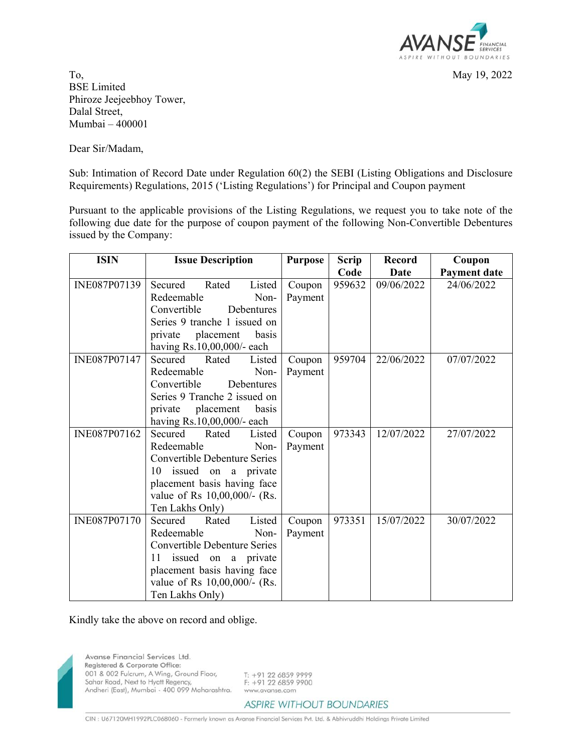

To, May 19, 2022 BSE Limited Phiroze Jeejeebhoy Tower, Dalal Street, Mumbai – 400001

Dear Sir/Madam,

Sub: Intimation of Record Date under Regulation 60(2) the SEBI (Listing Obligations and Disclosure Requirements) Regulations, 2015 ('Listing Regulations') for Principal and Coupon payment

Pursuant to the applicable provisions of the Listing Regulations, we request you to take note of the following due date for the purpose of coupon payment of the following Non-Convertible Debentures issued by the Company:

| <b>Issue Description</b>   | <b>Purpose</b>                                                                                                                                                                                                                                                                                                                                                                                                                                                                                                                                                                                                                                                                                                                                     | <b>Scrip</b>                                                           | <b>Record</b>              | Coupon                                 |
|----------------------------|----------------------------------------------------------------------------------------------------------------------------------------------------------------------------------------------------------------------------------------------------------------------------------------------------------------------------------------------------------------------------------------------------------------------------------------------------------------------------------------------------------------------------------------------------------------------------------------------------------------------------------------------------------------------------------------------------------------------------------------------------|------------------------------------------------------------------------|----------------------------|----------------------------------------|
|                            |                                                                                                                                                                                                                                                                                                                                                                                                                                                                                                                                                                                                                                                                                                                                                    | Code                                                                   | Date                       | Payment date                           |
| Secured<br>Rated<br>Listed | Coupon                                                                                                                                                                                                                                                                                                                                                                                                                                                                                                                                                                                                                                                                                                                                             | 959632                                                                 | 09/06/2022                 | 24/06/2022                             |
|                            |                                                                                                                                                                                                                                                                                                                                                                                                                                                                                                                                                                                                                                                                                                                                                    |                                                                        |                            |                                        |
|                            |                                                                                                                                                                                                                                                                                                                                                                                                                                                                                                                                                                                                                                                                                                                                                    |                                                                        |                            |                                        |
|                            |                                                                                                                                                                                                                                                                                                                                                                                                                                                                                                                                                                                                                                                                                                                                                    |                                                                        |                            |                                        |
|                            |                                                                                                                                                                                                                                                                                                                                                                                                                                                                                                                                                                                                                                                                                                                                                    |                                                                        |                            |                                        |
|                            |                                                                                                                                                                                                                                                                                                                                                                                                                                                                                                                                                                                                                                                                                                                                                    |                                                                        |                            |                                        |
|                            |                                                                                                                                                                                                                                                                                                                                                                                                                                                                                                                                                                                                                                                                                                                                                    |                                                                        |                            | 07/07/2022                             |
|                            |                                                                                                                                                                                                                                                                                                                                                                                                                                                                                                                                                                                                                                                                                                                                                    |                                                                        |                            |                                        |
|                            |                                                                                                                                                                                                                                                                                                                                                                                                                                                                                                                                                                                                                                                                                                                                                    |                                                                        |                            |                                        |
|                            |                                                                                                                                                                                                                                                                                                                                                                                                                                                                                                                                                                                                                                                                                                                                                    |                                                                        |                            |                                        |
|                            |                                                                                                                                                                                                                                                                                                                                                                                                                                                                                                                                                                                                                                                                                                                                                    |                                                                        |                            |                                        |
|                            |                                                                                                                                                                                                                                                                                                                                                                                                                                                                                                                                                                                                                                                                                                                                                    |                                                                        |                            |                                        |
|                            |                                                                                                                                                                                                                                                                                                                                                                                                                                                                                                                                                                                                                                                                                                                                                    |                                                                        |                            | 27/07/2022                             |
|                            |                                                                                                                                                                                                                                                                                                                                                                                                                                                                                                                                                                                                                                                                                                                                                    |                                                                        |                            |                                        |
|                            |                                                                                                                                                                                                                                                                                                                                                                                                                                                                                                                                                                                                                                                                                                                                                    |                                                                        |                            |                                        |
|                            |                                                                                                                                                                                                                                                                                                                                                                                                                                                                                                                                                                                                                                                                                                                                                    |                                                                        |                            |                                        |
|                            |                                                                                                                                                                                                                                                                                                                                                                                                                                                                                                                                                                                                                                                                                                                                                    |                                                                        |                            |                                        |
|                            |                                                                                                                                                                                                                                                                                                                                                                                                                                                                                                                                                                                                                                                                                                                                                    |                                                                        |                            |                                        |
|                            |                                                                                                                                                                                                                                                                                                                                                                                                                                                                                                                                                                                                                                                                                                                                                    |                                                                        |                            | 30/07/2022                             |
|                            |                                                                                                                                                                                                                                                                                                                                                                                                                                                                                                                                                                                                                                                                                                                                                    |                                                                        |                            |                                        |
|                            |                                                                                                                                                                                                                                                                                                                                                                                                                                                                                                                                                                                                                                                                                                                                                    |                                                                        |                            |                                        |
|                            |                                                                                                                                                                                                                                                                                                                                                                                                                                                                                                                                                                                                                                                                                                                                                    |                                                                        |                            |                                        |
|                            |                                                                                                                                                                                                                                                                                                                                                                                                                                                                                                                                                                                                                                                                                                                                                    |                                                                        |                            |                                        |
|                            |                                                                                                                                                                                                                                                                                                                                                                                                                                                                                                                                                                                                                                                                                                                                                    |                                                                        |                            |                                        |
|                            |                                                                                                                                                                                                                                                                                                                                                                                                                                                                                                                                                                                                                                                                                                                                                    |                                                                        |                            |                                        |
|                            | Redeemable<br>Non-<br>Convertible<br>Debentures<br>Series 9 tranche 1 issued on<br>placement<br>private<br>basis<br>having Rs.10,00,000/- each<br>Secured<br>Rated<br>Listed<br>Redeemable<br>Non-<br>Convertible<br>Debentures<br>Series 9 Tranche 2 issued on<br>placement<br>private<br>basis<br>having Rs.10,00,000/- each<br>Secured<br>Listed<br>Rated<br>Redeemable<br>Non-<br><b>Convertible Debenture Series</b><br>issued on a private<br>10<br>placement basis having face<br>value of Rs 10,00,000/- (Rs.<br>Ten Lakhs Only)<br>Secured<br>Rated<br>Listed<br>Redeemable<br>Non-<br><b>Convertible Debenture Series</b><br>issued on a private<br>11<br>placement basis having face<br>value of Rs 10,00,000/- (Rs.<br>Ten Lakhs Only) | Payment<br>Coupon<br>Payment<br>Coupon<br>Payment<br>Coupon<br>Payment | 959704<br>973343<br>973351 | 22/06/2022<br>12/07/2022<br>15/07/2022 |

Kindly take the above on record and oblige.



Avanse Financial Services Ltd. Registered & Corporate Office: 001 & 002 Fulcrum, A Wing, Ground Floor, Sahar Road, Next to Hyatt Regency, Andheri (East), Mumbai - 400 099 Maharashtra.

T: +91 22 6859 9999<br>F: +91 22 6859 9900 www.avanse.com

**ASPIRE WITHOUT BOUNDARIES** 

CIN : U67120MH1992PLC068060 - Formerly known as Avanse Financial Services Pvt. Ltd. & Abhivruddhi Holdings Private Limited